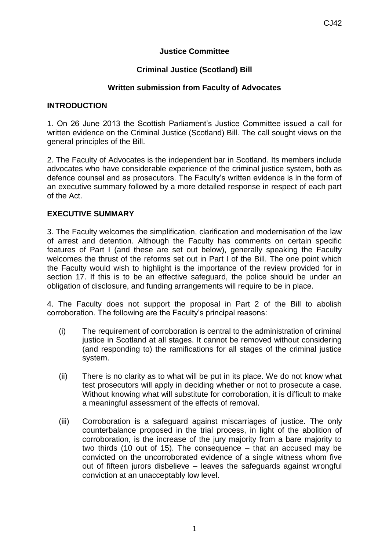## **Justice Committee**

## **Criminal Justice (Scotland) Bill**

## **Written submission from Faculty of Advocates**

### **INTRODUCTION**

1. On 26 June 2013 the Scottish Parliament's Justice Committee issued a call for written evidence on the Criminal Justice (Scotland) Bill. The call sought views on the general principles of the Bill.

2. The Faculty of Advocates is the independent bar in Scotland. Its members include advocates who have considerable experience of the criminal justice system, both as defence counsel and as prosecutors. The Faculty's written evidence is in the form of an executive summary followed by a more detailed response in respect of each part of the Act.

### **EXECUTIVE SUMMARY**

3. The Faculty welcomes the simplification, clarification and modernisation of the law of arrest and detention. Although the Faculty has comments on certain specific features of Part I (and these are set out below), generally speaking the Faculty welcomes the thrust of the reforms set out in Part I of the Bill. The one point which the Faculty would wish to highlight is the importance of the review provided for in section 17. If this is to be an effective safeguard, the police should be under an obligation of disclosure, and funding arrangements will require to be in place.

4. The Faculty does not support the proposal in Part 2 of the Bill to abolish corroboration. The following are the Faculty's principal reasons:

- (i) The requirement of corroboration is central to the administration of criminal justice in Scotland at all stages. It cannot be removed without considering (and responding to) the ramifications for all stages of the criminal justice system.
- (ii) There is no clarity as to what will be put in its place. We do not know what test prosecutors will apply in deciding whether or not to prosecute a case. Without knowing what will substitute for corroboration, it is difficult to make a meaningful assessment of the effects of removal.
- (iii) Corroboration is a safeguard against miscarriages of justice. The only counterbalance proposed in the trial process, in light of the abolition of corroboration, is the increase of the jury majority from a bare majority to two thirds (10 out of 15). The consequence – that an accused may be convicted on the uncorroborated evidence of a single witness whom five out of fifteen jurors disbelieve – leaves the safeguards against wrongful conviction at an unacceptably low level.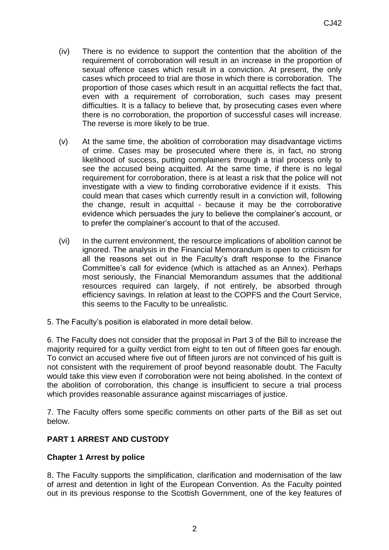- (iv) There is no evidence to support the contention that the abolition of the requirement of corroboration will result in an increase in the proportion of sexual offence cases which result in a conviction. At present, the only cases which proceed to trial are those in which there is corroboration. The proportion of those cases which result in an acquittal reflects the fact that, even with a requirement of corroboration, such cases may present difficulties. It is a fallacy to believe that, by prosecuting cases even where there is no corroboration, the proportion of successful cases will increase. The reverse is more likely to be true.
- (v) At the same time, the abolition of corroboration may disadvantage victims of crime. Cases may be prosecuted where there is, in fact, no strong likelihood of success, putting complainers through a trial process only to see the accused being acquitted. At the same time, if there is no legal requirement for corroboration, there is at least a risk that the police will not investigate with a view to finding corroborative evidence if it exists. This could mean that cases which currently result in a conviction will, following the change, result in acquittal - because it may be the corroborative evidence which persuades the jury to believe the complainer's account, or to prefer the complainer's account to that of the accused.
- (vi) In the current environment, the resource implications of abolition cannot be ignored. The analysis in the Financial Memorandum is open to criticism for all the reasons set out in the Faculty's draft response to the Finance Committee's call for evidence (which is attached as an Annex). Perhaps most seriously, the Financial Memorandum assumes that the additional resources required can largely, if not entirely, be absorbed through efficiency savings. In relation at least to the COPFS and the Court Service, this seems to the Faculty to be unrealistic.
- 5. The Faculty's position is elaborated in more detail below.

6. The Faculty does not consider that the proposal in Part 3 of the Bill to increase the majority required for a guilty verdict from eight to ten out of fifteen goes far enough. To convict an accused where five out of fifteen jurors are not convinced of his guilt is not consistent with the requirement of proof beyond reasonable doubt. The Faculty would take this view even if corroboration were not being abolished. In the context of the abolition of corroboration, this change is insufficient to secure a trial process which provides reasonable assurance against miscarriages of justice.

7. The Faculty offers some specific comments on other parts of the Bill as set out below.

# **PART 1 ARREST AND CUSTODY**

# **Chapter 1 Arrest by police**

8. The Faculty supports the simplification, clarification and modernisation of the law of arrest and detention in light of the European Convention. As the Faculty pointed out in its previous response to the Scottish Government, one of the key features of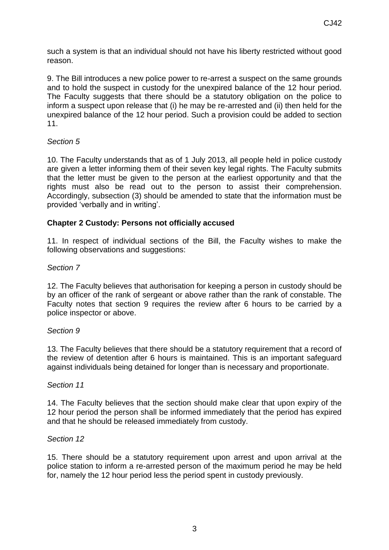such a system is that an individual should not have his liberty restricted without good reason.

9. The Bill introduces a new police power to re-arrest a suspect on the same grounds and to hold the suspect in custody for the unexpired balance of the 12 hour period. The Faculty suggests that there should be a statutory obligation on the police to inform a suspect upon release that (i) he may be re-arrested and (ii) then held for the unexpired balance of the 12 hour period. Such a provision could be added to section 11.

# *Section 5*

10. The Faculty understands that as of 1 July 2013, all people held in police custody are given a letter informing them of their seven key legal rights. The Faculty submits that the letter must be given to the person at the earliest opportunity and that the rights must also be read out to the person to assist their comprehension. Accordingly, subsection (3) should be amended to state that the information must be provided 'verbally and in writing'.

# **Chapter 2 Custody: Persons not officially accused**

11. In respect of individual sections of the Bill, the Faculty wishes to make the following observations and suggestions:

## *Section 7*

12. The Faculty believes that authorisation for keeping a person in custody should be by an officer of the rank of sergeant or above rather than the rank of constable. The Faculty notes that section 9 requires the review after 6 hours to be carried by a police inspector or above.

### *Section 9*

13. The Faculty believes that there should be a statutory requirement that a record of the review of detention after 6 hours is maintained. This is an important safeguard against individuals being detained for longer than is necessary and proportionate.

### *Section 11*

14. The Faculty believes that the section should make clear that upon expiry of the 12 hour period the person shall be informed immediately that the period has expired and that he should be released immediately from custody.

### *Section 12*

15. There should be a statutory requirement upon arrest and upon arrival at the police station to inform a re-arrested person of the maximum period he may be held for, namely the 12 hour period less the period spent in custody previously.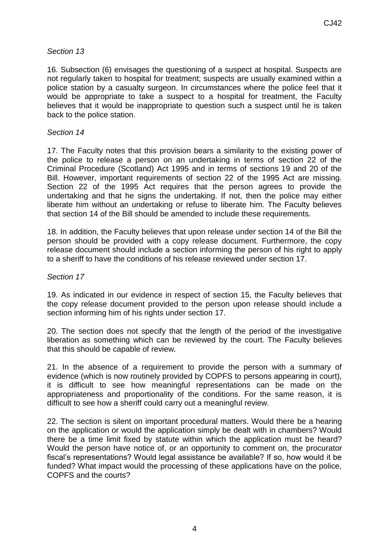## *Section 13*

16. Subsection (6) envisages the questioning of a suspect at hospital. Suspects are not regularly taken to hospital for treatment; suspects are usually examined within a police station by a casualty surgeon. In circumstances where the police feel that it would be appropriate to take a suspect to a hospital for treatment, the Faculty believes that it would be inappropriate to question such a suspect until he is taken back to the police station.

### *Section 14*

17. The Faculty notes that this provision bears a similarity to the existing power of the police to release a person on an undertaking in terms of section 22 of the Criminal Procedure (Scotland) Act 1995 and in terms of sections 19 and 20 of the Bill. However, important requirements of section 22 of the 1995 Act are missing. Section 22 of the 1995 Act requires that the person agrees to provide the undertaking and that he signs the undertaking. If not, then the police may either liberate him without an undertaking or refuse to liberate him. The Faculty believes that section 14 of the Bill should be amended to include these requirements.

18. In addition, the Faculty believes that upon release under section 14 of the Bill the person should be provided with a copy release document. Furthermore, the copy release document should include a section informing the person of his right to apply to a sheriff to have the conditions of his release reviewed under section 17.

### *Section 17*

19. As indicated in our evidence in respect of section 15, the Faculty believes that the copy release document provided to the person upon release should include a section informing him of his rights under section 17.

20. The section does not specify that the length of the period of the investigative liberation as something which can be reviewed by the court. The Faculty believes that this should be capable of review.

21. In the absence of a requirement to provide the person with a summary of evidence (which is now routinely provided by COPFS to persons appearing in court), it is difficult to see how meaningful representations can be made on the appropriateness and proportionality of the conditions. For the same reason, it is difficult to see how a sheriff could carry out a meaningful review.

22. The section is silent on important procedural matters. Would there be a hearing on the application or would the application simply be dealt with in chambers? Would there be a time limit fixed by statute within which the application must be heard? Would the person have notice of, or an opportunity to comment on, the procurator fiscal's representations? Would legal assistance be available? If so, how would it be funded? What impact would the processing of these applications have on the police, COPFS and the courts?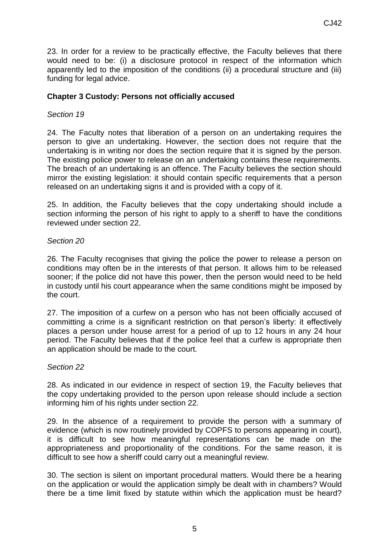23. In order for a review to be practically effective, the Faculty believes that there would need to be: (i) a disclosure protocol in respect of the information which apparently led to the imposition of the conditions (ii) a procedural structure and (iii) funding for legal advice.

## **Chapter 3 Custody: Persons not officially accused**

### *Section 19*

24. The Faculty notes that liberation of a person on an undertaking requires the person to give an undertaking. However, the section does not require that the undertaking is in writing nor does the section require that it is signed by the person. The existing police power to release on an undertaking contains these requirements. The breach of an undertaking is an offence. The Faculty believes the section should mirror the existing legislation: it should contain specific requirements that a person released on an undertaking signs it and is provided with a copy of it.

25. In addition, the Faculty believes that the copy undertaking should include a section informing the person of his right to apply to a sheriff to have the conditions reviewed under section 22.

### *Section 20*

26. The Faculty recognises that giving the police the power to release a person on conditions may often be in the interests of that person. It allows him to be released sooner; if the police did not have this power, then the person would need to be held in custody until his court appearance when the same conditions might be imposed by the court.

27. The imposition of a curfew on a person who has not been officially accused of committing a crime is a significant restriction on that person's liberty: it effectively places a person under house arrest for a period of up to 12 hours in any 24 hour period. The Faculty believes that if the police feel that a curfew is appropriate then an application should be made to the court.

#### *Section 22*

28. As indicated in our evidence in respect of section 19, the Faculty believes that the copy undertaking provided to the person upon release should include a section informing him of his rights under section 22.

29. In the absence of a requirement to provide the person with a summary of evidence (which is now routinely provided by COPFS to persons appearing in court), it is difficult to see how meaningful representations can be made on the appropriateness and proportionality of the conditions. For the same reason, it is difficult to see how a sheriff could carry out a meaningful review.

30. The section is silent on important procedural matters. Would there be a hearing on the application or would the application simply be dealt with in chambers? Would there be a time limit fixed by statute within which the application must be heard?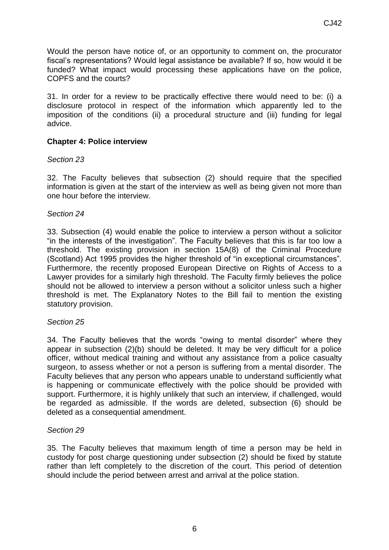Would the person have notice of, or an opportunity to comment on, the procurator fiscal's representations? Would legal assistance be available? If so, how would it be funded? What impact would processing these applications have on the police, COPFS and the courts?

31. In order for a review to be practically effective there would need to be: (i) a disclosure protocol in respect of the information which apparently led to the imposition of the conditions (ii) a procedural structure and (iii) funding for legal advice.

# **Chapter 4: Police interview**

## *Section 23*

32. The Faculty believes that subsection (2) should require that the specified information is given at the start of the interview as well as being given not more than one hour before the interview.

## *Section 24*

33. Subsection (4) would enable the police to interview a person without a solicitor "in the interests of the investigation". The Faculty believes that this is far too low a threshold. The existing provision in section 15A(8) of the Criminal Procedure (Scotland) Act 1995 provides the higher threshold of "in exceptional circumstances". Furthermore, the recently proposed European Directive on Rights of Access to a Lawyer provides for a similarly high threshold. The Faculty firmly believes the police should not be allowed to interview a person without a solicitor unless such a higher threshold is met. The Explanatory Notes to the Bill fail to mention the existing statutory provision.

# *Section 25*

34. The Faculty believes that the words "owing to mental disorder" where they appear in subsection (2)(b) should be deleted. It may be very difficult for a police officer, without medical training and without any assistance from a police casualty surgeon, to assess whether or not a person is suffering from a mental disorder. The Faculty believes that any person who appears unable to understand sufficiently what is happening or communicate effectively with the police should be provided with support. Furthermore, it is highly unlikely that such an interview, if challenged, would be regarded as admissible. If the words are deleted, subsection (6) should be deleted as a consequential amendment.

### *Section 29*

35. The Faculty believes that maximum length of time a person may be held in custody for post charge questioning under subsection (2) should be fixed by statute rather than left completely to the discretion of the court. This period of detention should include the period between arrest and arrival at the police station.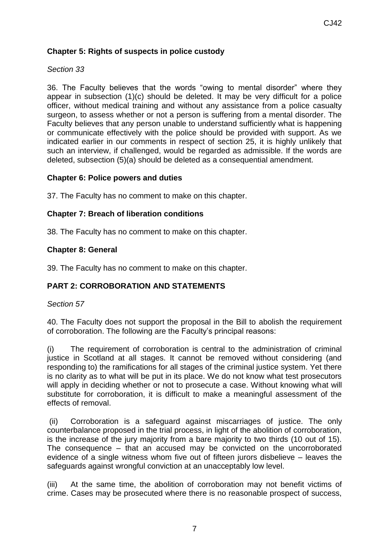# **Chapter 5: Rights of suspects in police custody**

## *Section 33*

36. The Faculty believes that the words "owing to mental disorder" where they appear in subsection (1)(c) should be deleted. It may be very difficult for a police officer, without medical training and without any assistance from a police casualty surgeon, to assess whether or not a person is suffering from a mental disorder. The Faculty believes that any person unable to understand sufficiently what is happening or communicate effectively with the police should be provided with support. As we indicated earlier in our comments in respect of section 25, it is highly unlikely that such an interview, if challenged, would be regarded as admissible. If the words are deleted, subsection (5)(a) should be deleted as a consequential amendment.

## **Chapter 6: Police powers and duties**

37. The Faculty has no comment to make on this chapter.

## **Chapter 7: Breach of liberation conditions**

38. The Faculty has no comment to make on this chapter.

## **Chapter 8: General**

39. The Faculty has no comment to make on this chapter.

# **PART 2: CORROBORATION AND STATEMENTS**

### *Section 57*

40. The Faculty does not support the proposal in the Bill to abolish the requirement of corroboration. The following are the Faculty's principal reasons:

(i) The requirement of corroboration is central to the administration of criminal justice in Scotland at all stages. It cannot be removed without considering (and responding to) the ramifications for all stages of the criminal justice system. Yet there is no clarity as to what will be put in its place. We do not know what test prosecutors will apply in deciding whether or not to prosecute a case. Without knowing what will substitute for corroboration, it is difficult to make a meaningful assessment of the effects of removal.

(ii) Corroboration is a safeguard against miscarriages of justice. The only counterbalance proposed in the trial process, in light of the abolition of corroboration, is the increase of the jury majority from a bare majority to two thirds (10 out of 15). The consequence – that an accused may be convicted on the uncorroborated evidence of a single witness whom five out of fifteen jurors disbelieve – leaves the safeguards against wrongful conviction at an unacceptably low level.

(iii) At the same time, the abolition of corroboration may not benefit victims of crime. Cases may be prosecuted where there is no reasonable prospect of success,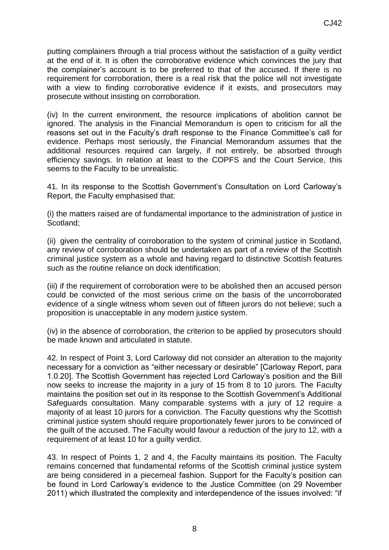putting complainers through a trial process without the satisfaction of a guilty verdict at the end of it. It is often the corroborative evidence which convinces the jury that the complainer's account is to be preferred to that of the accused. If there is no requirement for corroboration, there is a real risk that the police will not investigate with a view to finding corroborative evidence if it exists, and prosecutors may prosecute without insisting on corroboration.

(iv) In the current environment, the resource implications of abolition cannot be ignored. The analysis in the Financial Memorandum is open to criticism for all the reasons set out in the Faculty's draft response to the Finance Committee's call for evidence. Perhaps most seriously, the Financial Memorandum assumes that the additional resources required can largely, if not entirely, be absorbed through efficiency savings. In relation at least to the COPFS and the Court Service, this seems to the Faculty to be unrealistic.

41. In its response to the Scottish Government's Consultation on Lord Carloway's Report, the Faculty emphasised that:

(i) the matters raised are of fundamental importance to the administration of justice in Scotland;

(ii) given the centrality of corroboration to the system of criminal justice in Scotland, any review of corroboration should be undertaken as part of a review of the Scottish criminal justice system as a whole and having regard to distinctive Scottish features such as the routine reliance on dock identification;

(iii) if the requirement of corroboration were to be abolished then an accused person could be convicted of the most serious crime on the basis of the uncorroborated evidence of a single witness whom seven out of fifteen jurors do not believe; such a proposition is unacceptable in any modern justice system.

(iv) in the absence of corroboration, the criterion to be applied by prosecutors should be made known and articulated in statute.

42. In respect of Point 3, Lord Carloway did not consider an alteration to the majority necessary for a conviction as "either necessary or desirable" [Carloway Report, para 1.0.20]. The Scottish Government has rejected Lord Carloway's position and the Bill now seeks to increase the majority in a jury of 15 from 8 to 10 jurors. The Faculty maintains the position set out in its response to the Scottish Government's Additional Safeguards consultation. Many comparable systems with a jury of 12 require a majority of at least 10 jurors for a conviction. The Faculty questions why the Scottish criminal justice system should require proportionately fewer jurors to be convinced of the guilt of the accused. The Faculty would favour a reduction of the jury to 12, with a requirement of at least 10 for a guilty verdict.

43. In respect of Points 1, 2 and 4, the Faculty maintains its position. The Faculty remains concerned that fundamental reforms of the Scottish criminal justice system are being considered in a piecemeal fashion. Support for the Faculty's position can be found in Lord Carloway's evidence to the Justice Committee (on 29 November 2011) which illustrated the complexity and interdependence of the issues involved: "if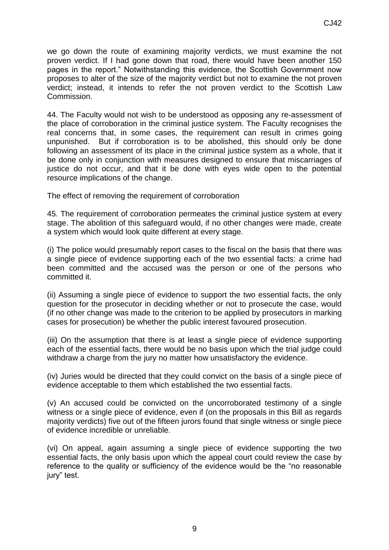we go down the route of examining majority verdicts, we must examine the not proven verdict. If I had gone down that road, there would have been another 150 pages in the report." Notwithstanding this evidence, the Scottish Government now proposes to alter of the size of the majority verdict but not to examine the not proven verdict; instead, it intends to refer the not proven verdict to the Scottish Law Commission.

44. The Faculty would not wish to be understood as opposing any re-assessment of the place of corroboration in the criminal justice system. The Faculty recognises the real concerns that, in some cases, the requirement can result in crimes going unpunished. But if corroboration is to be abolished, this should only be done following an assessment of its place in the criminal justice system as a whole, that it be done only in conjunction with measures designed to ensure that miscarriages of justice do not occur, and that it be done with eyes wide open to the potential resource implications of the change.

The effect of removing the requirement of corroboration

45. The requirement of corroboration permeates the criminal justice system at every stage. The abolition of this safeguard would, if no other changes were made, create a system which would look quite different at every stage.

(i) The police would presumably report cases to the fiscal on the basis that there was a single piece of evidence supporting each of the two essential facts: a crime had been committed and the accused was the person or one of the persons who committed it.

(ii) Assuming a single piece of evidence to support the two essential facts, the only question for the prosecutor in deciding whether or not to prosecute the case, would (if no other change was made to the criterion to be applied by prosecutors in marking cases for prosecution) be whether the public interest favoured prosecution.

(iii) On the assumption that there is at least a single piece of evidence supporting each of the essential facts, there would be no basis upon which the trial judge could withdraw a charge from the jury no matter how unsatisfactory the evidence.

(iv) Juries would be directed that they could convict on the basis of a single piece of evidence acceptable to them which established the two essential facts.

(v) An accused could be convicted on the uncorroborated testimony of a single witness or a single piece of evidence, even if (on the proposals in this Bill as regards majority verdicts) five out of the fifteen jurors found that single witness or single piece of evidence incredible or unreliable.

(vi) On appeal, again assuming a single piece of evidence supporting the two essential facts, the only basis upon which the appeal court could review the case by reference to the quality or sufficiency of the evidence would be the "no reasonable jury" test.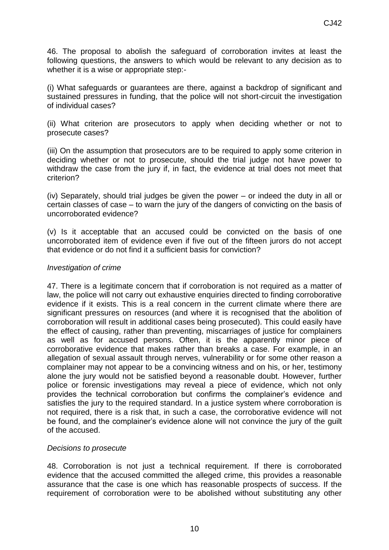46. The proposal to abolish the safeguard of corroboration invites at least the following questions, the answers to which would be relevant to any decision as to whether it is a wise or appropriate step:-

(i) What safeguards or guarantees are there, against a backdrop of significant and sustained pressures in funding, that the police will not short-circuit the investigation of individual cases?

(ii) What criterion are prosecutors to apply when deciding whether or not to prosecute cases?

(iii) On the assumption that prosecutors are to be required to apply some criterion in deciding whether or not to prosecute, should the trial judge not have power to withdraw the case from the jury if, in fact, the evidence at trial does not meet that criterion?

(iv) Separately, should trial judges be given the power – or indeed the duty in all or certain classes of case – to warn the jury of the dangers of convicting on the basis of uncorroborated evidence?

(v) Is it acceptable that an accused could be convicted on the basis of one uncorroborated item of evidence even if five out of the fifteen jurors do not accept that evidence or do not find it a sufficient basis for conviction?

### *Investigation of crime*

47. There is a legitimate concern that if corroboration is not required as a matter of law, the police will not carry out exhaustive enquiries directed to finding corroborative evidence if it exists. This is a real concern in the current climate where there are significant pressures on resources (and where it is recognised that the abolition of corroboration will result in additional cases being prosecuted). This could easily have the effect of causing, rather than preventing, miscarriages of justice for complainers as well as for accused persons. Often, it is the apparently minor piece of corroborative evidence that makes rather than breaks a case. For example, in an allegation of sexual assault through nerves, vulnerability or for some other reason a complainer may not appear to be a convincing witness and on his, or her, testimony alone the jury would not be satisfied beyond a reasonable doubt. However, further police or forensic investigations may reveal a piece of evidence, which not only provides the technical corroboration but confirms the complainer's evidence and satisfies the jury to the required standard. In a justice system where corroboration is not required, there is a risk that, in such a case, the corroborative evidence will not be found, and the complainer's evidence alone will not convince the jury of the guilt of the accused.

### *Decisions to prosecute*

48. Corroboration is not just a technical requirement. If there is corroborated evidence that the accused committed the alleged crime, this provides a reasonable assurance that the case is one which has reasonable prospects of success. If the requirement of corroboration were to be abolished without substituting any other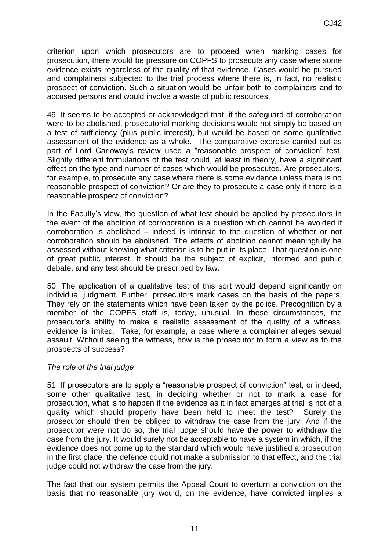criterion upon which prosecutors are to proceed when marking cases for prosecution, there would be pressure on COPFS to prosecute any case where some evidence exists regardless of the quality of that evidence. Cases would be pursued and complainers subjected to the trial process where there is, in fact, no realistic prospect of conviction. Such a situation would be unfair both to complainers and to accused persons and would involve a waste of public resources.

49. It seems to be accepted or acknowledged that, if the safeguard of corroboration were to be abolished, prosecutorial marking decisions would not simply be based on a test of sufficiency (plus public interest), but would be based on some qualitative assessment of the evidence as a whole. The comparative exercise carried out as part of Lord Carloway's review used a "reasonable prospect of conviction" test. Slightly different formulations of the test could, at least in theory, have a significant effect on the type and number of cases which would be prosecuted. Are prosecutors, for example, to prosecute any case where there is some evidence unless there is no reasonable prospect of conviction? Or are they to prosecute a case only if there is a reasonable prospect of conviction?

In the Faculty's view, the question of what test should be applied by prosecutors in the event of the abolition of corroboration is a question which cannot be avoided if corroboration is abolished – indeed is intrinsic to the question of whether or not corroboration should be abolished. The effects of abolition cannot meaningfully be assessed without knowing what criterion is to be put in its place. That question is one of great public interest. It should be the subject of explicit, informed and public debate, and any test should be prescribed by law.

50. The application of a qualitative test of this sort would depend significantly on individual judgment. Further, prosecutors mark cases on the basis of the papers. They rely on the statements which have been taken by the police. Precognition by a member of the COPFS staff is, today, unusual. In these circumstances, the prosecutor's ability to make a realistic assessment of the quality of a witness' evidence is limited. Take, for example, a case where a complainer alleges sexual assault. Without seeing the witness, how is the prosecutor to form a view as to the prospects of success?

### *The role of the trial judge*

51. If prosecutors are to apply a "reasonable prospect of conviction" test, or indeed, some other qualitative test, in deciding whether or not to mark a case for prosecution, what is to happen if the evidence as it in fact emerges at trial is not of a quality which should properly have been held to meet the test? Surely the prosecutor should then be obliged to withdraw the case from the jury. And if the prosecutor were not do so, the trial judge should have the power to withdraw the case from the jury. It would surely not be acceptable to have a system in which, if the evidence does not come up to the standard which would have justified a prosecution in the first place, the defence could not make a submission to that effect, and the trial judge could not withdraw the case from the jury.

The fact that our system permits the Appeal Court to overturn a conviction on the basis that no reasonable jury would, on the evidence, have convicted implies a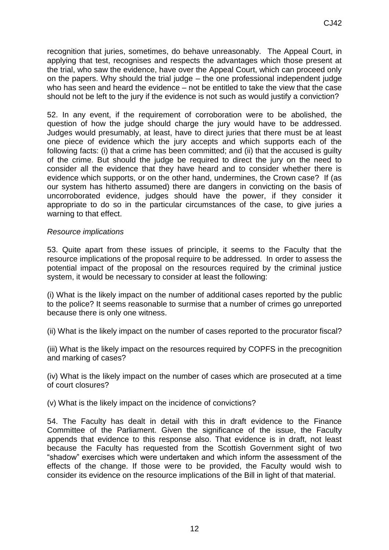recognition that juries, sometimes, do behave unreasonably. The Appeal Court, in applying that test, recognises and respects the advantages which those present at the trial, who saw the evidence, have over the Appeal Court, which can proceed only on the papers. Why should the trial judge – the one professional independent judge who has seen and heard the evidence – not be entitled to take the view that the case should not be left to the jury if the evidence is not such as would justify a conviction?

52. In any event, if the requirement of corroboration were to be abolished, the question of how the judge should charge the jury would have to be addressed. Judges would presumably, at least, have to direct juries that there must be at least one piece of evidence which the jury accepts and which supports each of the following facts: (i) that a crime has been committed; and (ii) that the accused is guilty of the crime. But should the judge be required to direct the jury on the need to consider all the evidence that they have heard and to consider whether there is evidence which supports, or on the other hand, undermines, the Crown case? If (as our system has hitherto assumed) there are dangers in convicting on the basis of uncorroborated evidence, judges should have the power, if they consider it appropriate to do so in the particular circumstances of the case, to give juries a warning to that effect.

### *Resource implications*

53. Quite apart from these issues of principle, it seems to the Faculty that the resource implications of the proposal require to be addressed. In order to assess the potential impact of the proposal on the resources required by the criminal justice system, it would be necessary to consider at least the following:

(i) What is the likely impact on the number of additional cases reported by the public to the police? It seems reasonable to surmise that a number of crimes go unreported because there is only one witness.

(ii) What is the likely impact on the number of cases reported to the procurator fiscal?

(iii) What is the likely impact on the resources required by COPFS in the precognition and marking of cases?

(iv) What is the likely impact on the number of cases which are prosecuted at a time of court closures?

(v) What is the likely impact on the incidence of convictions?

54. The Faculty has dealt in detail with this in draft evidence to the Finance Committee of the Parliament. Given the significance of the issue, the Faculty appends that evidence to this response also. That evidence is in draft, not least because the Faculty has requested from the Scottish Government sight of two "shadow" exercises which were undertaken and which inform the assessment of the effects of the change. If those were to be provided, the Faculty would wish to consider its evidence on the resource implications of the Bill in light of that material.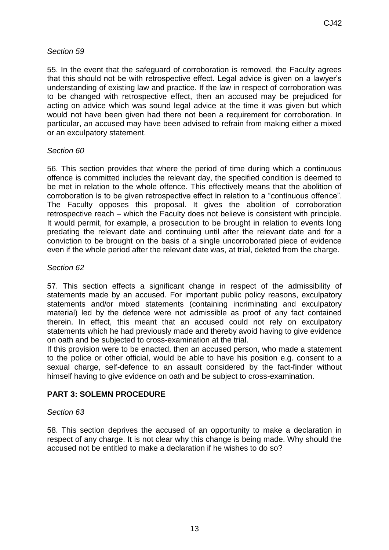# *Section 59*

55. In the event that the safeguard of corroboration is removed, the Faculty agrees that this should not be with retrospective effect. Legal advice is given on a lawyer's understanding of existing law and practice. If the law in respect of corroboration was to be changed with retrospective effect, then an accused may be prejudiced for acting on advice which was sound legal advice at the time it was given but which would not have been given had there not been a requirement for corroboration. In particular, an accused may have been advised to refrain from making either a mixed or an exculpatory statement.

# *Section 60*

56. This section provides that where the period of time during which a continuous offence is committed includes the relevant day, the specified condition is deemed to be met in relation to the whole offence. This effectively means that the abolition of corroboration is to be given retrospective effect in relation to a "continuous offence". The Faculty opposes this proposal. It gives the abolition of corroboration retrospective reach – which the Faculty does not believe is consistent with principle. It would permit, for example, a prosecution to be brought in relation to events long predating the relevant date and continuing until after the relevant date and for a conviction to be brought on the basis of a single uncorroborated piece of evidence even if the whole period after the relevant date was, at trial, deleted from the charge.

# *Section 62*

57. This section effects a significant change in respect of the admissibility of statements made by an accused. For important public policy reasons, exculpatory statements and/or mixed statements (containing incriminating and exculpatory material) led by the defence were not admissible as proof of any fact contained therein. In effect, this meant that an accused could not rely on exculpatory statements which he had previously made and thereby avoid having to give evidence on oath and be subjected to cross-examination at the trial.

If this provision were to be enacted, then an accused person, who made a statement to the police or other official, would be able to have his position e.g. consent to a sexual charge, self-defence to an assault considered by the fact-finder without himself having to give evidence on oath and be subject to cross-examination.

# **PART 3: SOLEMN PROCEDURE**

# *Section 63*

58. This section deprives the accused of an opportunity to make a declaration in respect of any charge. It is not clear why this change is being made. Why should the accused not be entitled to make a declaration if he wishes to do so?